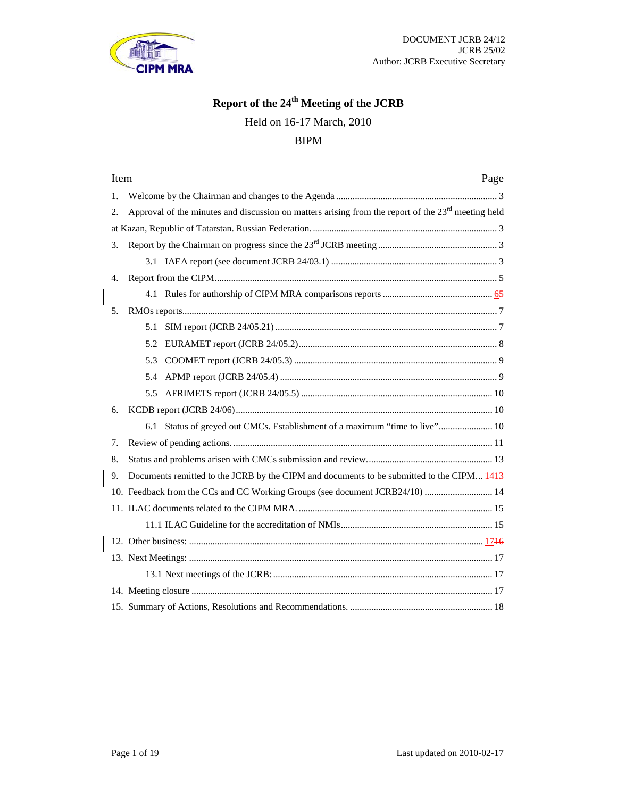

# **Report of the 24th Meeting of the JCRB**

Held on 16-17 March, 2010

# BIPM

| Item<br>Page                                                                                               |
|------------------------------------------------------------------------------------------------------------|
| $\mathbf{1}$ .                                                                                             |
| Approval of the minutes and discussion on matters arising from the report of the $23rd$ meeting held<br>2. |
|                                                                                                            |
| 3.                                                                                                         |
|                                                                                                            |
| 4.                                                                                                         |
|                                                                                                            |
| 5.                                                                                                         |
| 5.1                                                                                                        |
|                                                                                                            |
| 5.3                                                                                                        |
| 5.4                                                                                                        |
|                                                                                                            |
| б.                                                                                                         |
| 6.1 Status of greyed out CMCs. Establishment of a maximum "time to live" 10                                |
| 7.                                                                                                         |
| 8.                                                                                                         |
| Documents remitted to the JCRB by the CIPM and documents to be submitted to the CIPM 1443<br>9.            |
| 10. Feedback from the CCs and CC Working Groups (see document JCRB24/10)  14                               |
|                                                                                                            |
|                                                                                                            |
|                                                                                                            |
|                                                                                                            |
|                                                                                                            |
|                                                                                                            |
|                                                                                                            |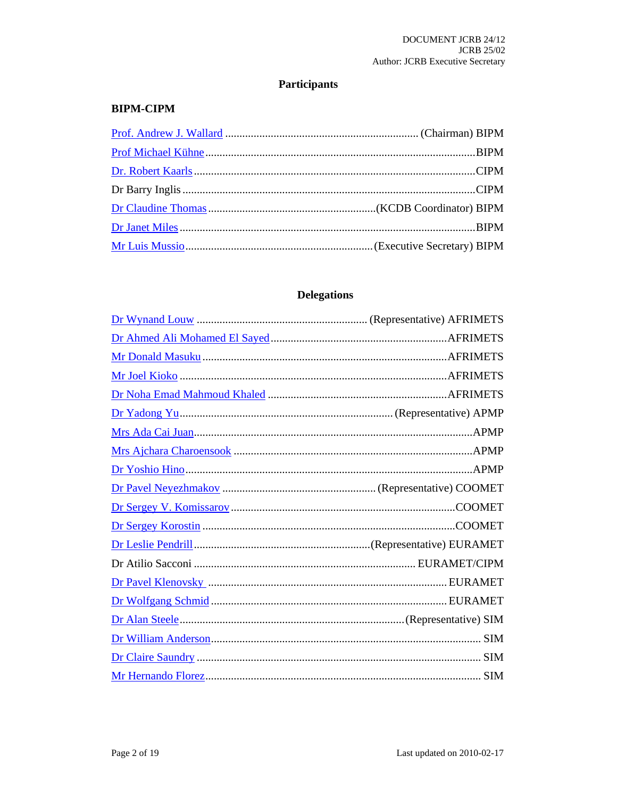# **Participants**

# **BIPM-CIPM**

# **Delegations**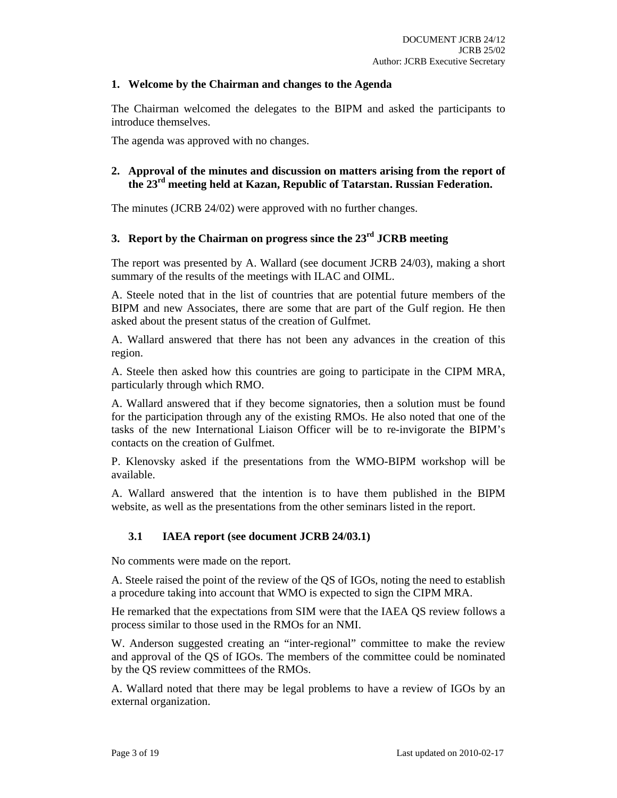# **1. Welcome by the Chairman and changes to the Agenda**

The Chairman welcomed the delegates to the BIPM and asked the participants to introduce themselves.

The agenda was approved with no changes.

# **2. Approval of the minutes and discussion on matters arising from the report of the 23rd meeting held at Kazan, Republic of Tatarstan. Russian Federation.**

The minutes (JCRB 24/02) were approved with no further changes.

# **3. Report by the Chairman on progress since the 23rd JCRB meeting**

The report was presented by A. Wallard (see document JCRB 24/03), making a short summary of the results of the meetings with ILAC and OIML.

A. Steele noted that in the list of countries that are potential future members of the BIPM and new Associates, there are some that are part of the Gulf region. He then asked about the present status of the creation of Gulfmet.

A. Wallard answered that there has not been any advances in the creation of this region.

A. Steele then asked how this countries are going to participate in the CIPM MRA, particularly through which RMO.

A. Wallard answered that if they become signatories, then a solution must be found for the participation through any of the existing RMOs. He also noted that one of the tasks of the new International Liaison Officer will be to re-invigorate the BIPM's contacts on the creation of Gulfmet.

P. Klenovsky asked if the presentations from the WMO-BIPM workshop will be available.

A. Wallard answered that the intention is to have them published in the BIPM website, as well as the presentations from the other seminars listed in the report.

# **3.1 IAEA report (see document JCRB 24/03.1)**

No comments were made on the report.

A. Steele raised the point of the review of the QS of IGOs, noting the need to establish a procedure taking into account that WMO is expected to sign the CIPM MRA.

He remarked that the expectations from SIM were that the IAEA QS review follows a process similar to those used in the RMOs for an NMI.

W. Anderson suggested creating an "inter-regional" committee to make the review and approval of the QS of IGOs. The members of the committee could be nominated by the QS review committees of the RMOs.

A. Wallard noted that there may be legal problems to have a review of IGOs by an external organization.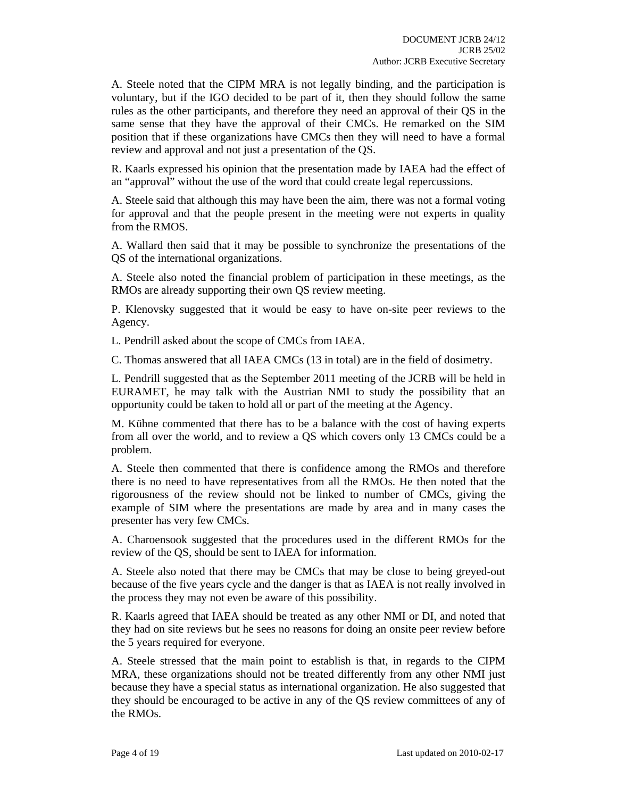A. Steele noted that the CIPM MRA is not legally binding, and the participation is voluntary, but if the IGO decided to be part of it, then they should follow the same rules as the other participants, and therefore they need an approval of their QS in the same sense that they have the approval of their CMCs. He remarked on the SIM position that if these organizations have CMCs then they will need to have a formal review and approval and not just a presentation of the QS.

R. Kaarls expressed his opinion that the presentation made by IAEA had the effect of an "approval" without the use of the word that could create legal repercussions.

A. Steele said that although this may have been the aim, there was not a formal voting for approval and that the people present in the meeting were not experts in quality from the RMOS.

A. Wallard then said that it may be possible to synchronize the presentations of the QS of the international organizations.

A. Steele also noted the financial problem of participation in these meetings, as the RMOs are already supporting their own QS review meeting.

P. Klenovsky suggested that it would be easy to have on-site peer reviews to the Agency.

L. Pendrill asked about the scope of CMCs from IAEA.

C. Thomas answered that all IAEA CMCs (13 in total) are in the field of dosimetry.

L. Pendrill suggested that as the September 2011 meeting of the JCRB will be held in EURAMET, he may talk with the Austrian NMI to study the possibility that an opportunity could be taken to hold all or part of the meeting at the Agency.

M. Kühne commented that there has to be a balance with the cost of having experts from all over the world, and to review a QS which covers only 13 CMCs could be a problem.

A. Steele then commented that there is confidence among the RMOs and therefore there is no need to have representatives from all the RMOs. He then noted that the rigorousness of the review should not be linked to number of CMCs, giving the example of SIM where the presentations are made by area and in many cases the presenter has very few CMCs.

A. Charoensook suggested that the procedures used in the different RMOs for the review of the QS, should be sent to IAEA for information.

A. Steele also noted that there may be CMCs that may be close to being greyed-out because of the five years cycle and the danger is that as IAEA is not really involved in the process they may not even be aware of this possibility.

R. Kaarls agreed that IAEA should be treated as any other NMI or DI, and noted that they had on site reviews but he sees no reasons for doing an onsite peer review before the 5 years required for everyone.

A. Steele stressed that the main point to establish is that, in regards to the CIPM MRA, these organizations should not be treated differently from any other NMI just because they have a special status as international organization. He also suggested that they should be encouraged to be active in any of the QS review committees of any of the RMOs.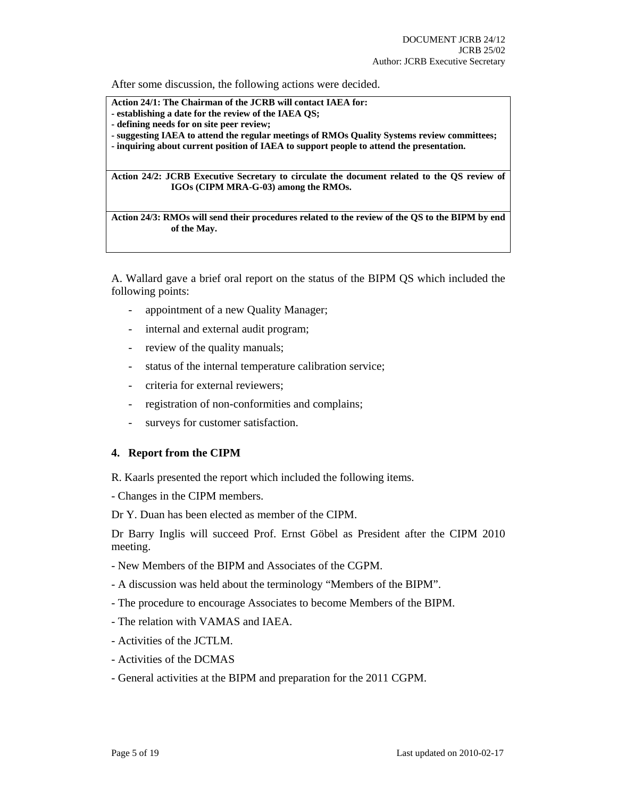After some discussion, the following actions were decided.

**Action 24/1: The Chairman of the JCRB will contact IAEA for:** 

- **establishing a date for the review of the IAEA QS;**
- **defining needs for on site peer review;**
- **suggesting IAEA to attend the regular meetings of RMOs Quality Systems review committees;**

**- inquiring about current position of IAEA to support people to attend the presentation.** 

**Action 24/2: JCRB Executive Secretary to circulate the document related to the QS review of IGOs (CIPM MRA-G-03) among the RMOs.** 

**Action 24/3: RMOs will send their procedures related to the review of the QS to the BIPM by end of the May.** 

A. Wallard gave a brief oral report on the status of the BIPM QS which included the following points:

- appointment of a new Quality Manager;
- internal and external audit program;
- review of the quality manuals;
- status of the internal temperature calibration service;
- criteria for external reviewers;
- registration of non-conformities and complains;
- surveys for customer satisfaction.

#### **4. Report from the CIPM**

R. Kaarls presented the report which included the following items.

- Changes in the CIPM members.

Dr Y. Duan has been elected as member of the CIPM.

Dr Barry Inglis will succeed Prof. Ernst Göbel as President after the CIPM 2010 meeting.

- New Members of the BIPM and Associates of the CGPM.
- A discussion was held about the terminology "Members of the BIPM".
- The procedure to encourage Associates to become Members of the BIPM.
- The relation with VAMAS and IAEA.
- Activities of the JCTLM.
- Activities of the DCMAS
- General activities at the BIPM and preparation for the 2011 CGPM.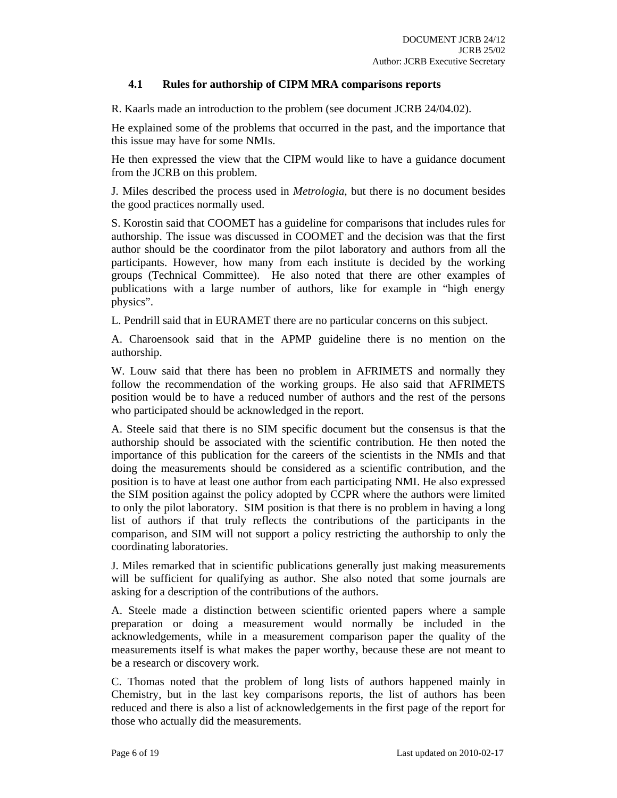# **4.1 Rules for authorship of CIPM MRA comparisons reports**

R. Kaarls made an introduction to the problem (see document JCRB 24/04.02).

He explained some of the problems that occurred in the past, and the importance that this issue may have for some NMIs.

He then expressed the view that the CIPM would like to have a guidance document from the JCRB on this problem.

J. Miles described the process used in *Metrologia*, but there is no document besides the good practices normally used.

S. Korostin said that COOMET has a guideline for comparisons that includes rules for authorship. The issue was discussed in COOMET and the decision was that the first author should be the coordinator from the pilot laboratory and authors from all the participants. However, how many from each institute is decided by the working groups (Technical Committee). He also noted that there are other examples of publications with a large number of authors, like for example in "high energy physics".

L. Pendrill said that in EURAMET there are no particular concerns on this subject.

A. Charoensook said that in the APMP guideline there is no mention on the authorship.

W. Louw said that there has been no problem in AFRIMETS and normally they follow the recommendation of the working groups. He also said that AFRIMETS position would be to have a reduced number of authors and the rest of the persons who participated should be acknowledged in the report.

A. Steele said that there is no SIM specific document but the consensus is that the authorship should be associated with the scientific contribution. He then noted the importance of this publication for the careers of the scientists in the NMIs and that doing the measurements should be considered as a scientific contribution, and the position is to have at least one author from each participating NMI. He also expressed the SIM position against the policy adopted by CCPR where the authors were limited to only the pilot laboratory. SIM position is that there is no problem in having a long list of authors if that truly reflects the contributions of the participants in the comparison, and SIM will not support a policy restricting the authorship to only the coordinating laboratories.

J. Miles remarked that in scientific publications generally just making measurements will be sufficient for qualifying as author. She also noted that some journals are asking for a description of the contributions of the authors.

A. Steele made a distinction between scientific oriented papers where a sample preparation or doing a measurement would normally be included in the acknowledgements, while in a measurement comparison paper the quality of the measurements itself is what makes the paper worthy, because these are not meant to be a research or discovery work.

C. Thomas noted that the problem of long lists of authors happened mainly in Chemistry, but in the last key comparisons reports, the list of authors has been reduced and there is also a list of acknowledgements in the first page of the report for those who actually did the measurements.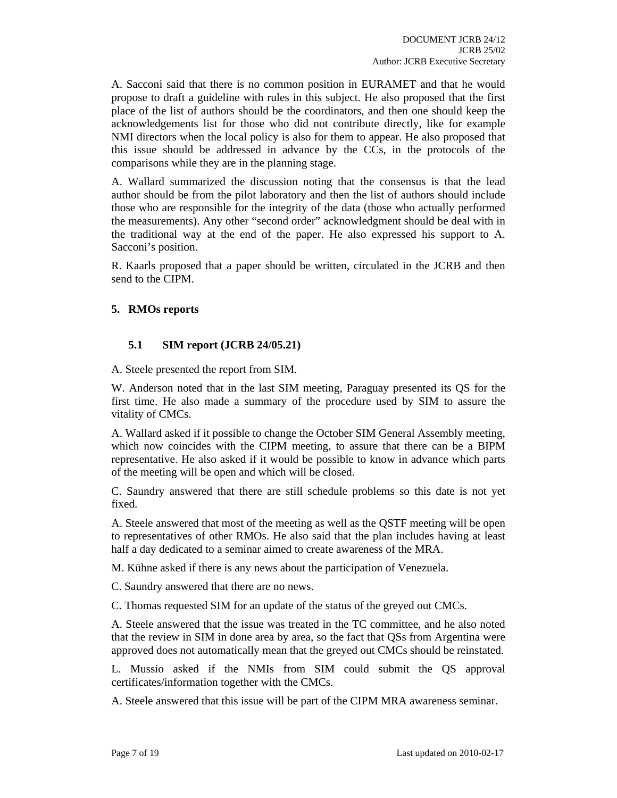A. Sacconi said that there is no common position in EURAMET and that he would propose to draft a guideline with rules in this subject. He also proposed that the first place of the list of authors should be the coordinators, and then one should keep the acknowledgements list for those who did not contribute directly, like for example NMI directors when the local policy is also for them to appear. He also proposed that this issue should be addressed in advance by the CCs, in the protocols of the comparisons while they are in the planning stage.

A. Wallard summarized the discussion noting that the consensus is that the lead author should be from the pilot laboratory and then the list of authors should include those who are responsible for the integrity of the data (those who actually performed the measurements). Any other "second order" acknowledgment should be deal with in the traditional way at the end of the paper. He also expressed his support to A. Sacconi's position.

R. Kaarls proposed that a paper should be written, circulated in the JCRB and then send to the CIPM.

# **5. RMOs reports**

# **5.1 SIM report (JCRB 24/05.21)**

A. Steele presented the report from SIM.

W. Anderson noted that in the last SIM meeting, Paraguay presented its QS for the first time. He also made a summary of the procedure used by SIM to assure the vitality of CMCs.

A. Wallard asked if it possible to change the October SIM General Assembly meeting, which now coincides with the CIPM meeting, to assure that there can be a BIPM representative. He also asked if it would be possible to know in advance which parts of the meeting will be open and which will be closed.

C. Saundry answered that there are still schedule problems so this date is not yet fixed.

A. Steele answered that most of the meeting as well as the QSTF meeting will be open to representatives of other RMOs. He also said that the plan includes having at least half a day dedicated to a seminar aimed to create awareness of the MRA.

M. Kühne asked if there is any news about the participation of Venezuela.

C. Saundry answered that there are no news.

C. Thomas requested SIM for an update of the status of the greyed out CMCs.

A. Steele answered that the issue was treated in the TC committee, and he also noted that the review in SIM in done area by area, so the fact that QSs from Argentina were approved does not automatically mean that the greyed out CMCs should be reinstated.

L. Mussio asked if the NMIs from SIM could submit the QS approval certificates/information together with the CMCs.

A. Steele answered that this issue will be part of the CIPM MRA awareness seminar.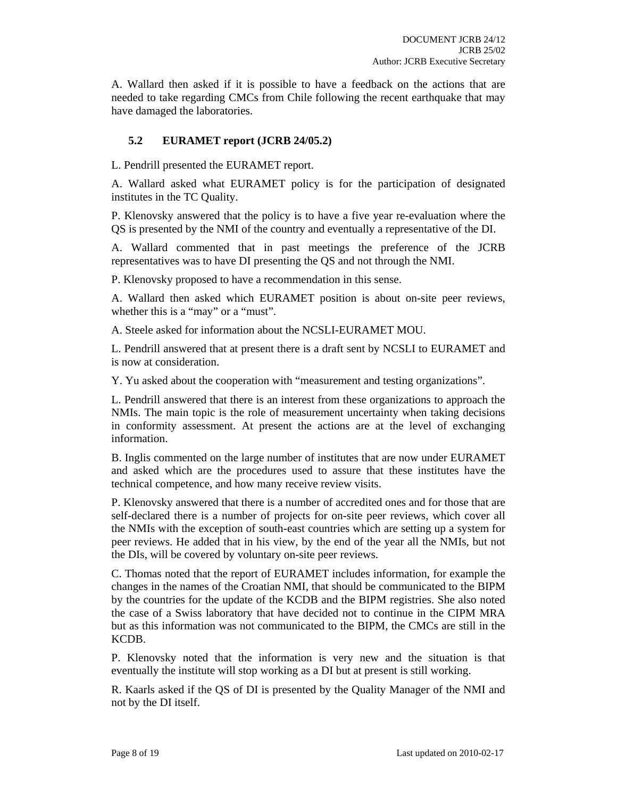A. Wallard then asked if it is possible to have a feedback on the actions that are needed to take regarding CMCs from Chile following the recent earthquake that may have damaged the laboratories.

# **5.2 EURAMET report (JCRB 24/05.2)**

L. Pendrill presented the EURAMET report.

A. Wallard asked what EURAMET policy is for the participation of designated institutes in the TC Quality.

P. Klenovsky answered that the policy is to have a five year re-evaluation where the QS is presented by the NMI of the country and eventually a representative of the DI.

A. Wallard commented that in past meetings the preference of the JCRB representatives was to have DI presenting the QS and not through the NMI.

P. Klenovsky proposed to have a recommendation in this sense.

A. Wallard then asked which EURAMET position is about on-site peer reviews, whether this is a "may" or a "must".

A. Steele asked for information about the NCSLI-EURAMET MOU.

L. Pendrill answered that at present there is a draft sent by NCSLI to EURAMET and is now at consideration.

Y. Yu asked about the cooperation with "measurement and testing organizations".

L. Pendrill answered that there is an interest from these organizations to approach the NMIs. The main topic is the role of measurement uncertainty when taking decisions in conformity assessment. At present the actions are at the level of exchanging information.

B. Inglis commented on the large number of institutes that are now under EURAMET and asked which are the procedures used to assure that these institutes have the technical competence, and how many receive review visits.

P. Klenovsky answered that there is a number of accredited ones and for those that are self-declared there is a number of projects for on-site peer reviews, which cover all the NMIs with the exception of south-east countries which are setting up a system for peer reviews. He added that in his view, by the end of the year all the NMIs, but not the DIs, will be covered by voluntary on-site peer reviews.

C. Thomas noted that the report of EURAMET includes information, for example the changes in the names of the Croatian NMI, that should be communicated to the BIPM by the countries for the update of the KCDB and the BIPM registries. She also noted the case of a Swiss laboratory that have decided not to continue in the CIPM MRA but as this information was not communicated to the BIPM, the CMCs are still in the KCDB.

P. Klenovsky noted that the information is very new and the situation is that eventually the institute will stop working as a DI but at present is still working.

R. Kaarls asked if the QS of DI is presented by the Quality Manager of the NMI and not by the DI itself.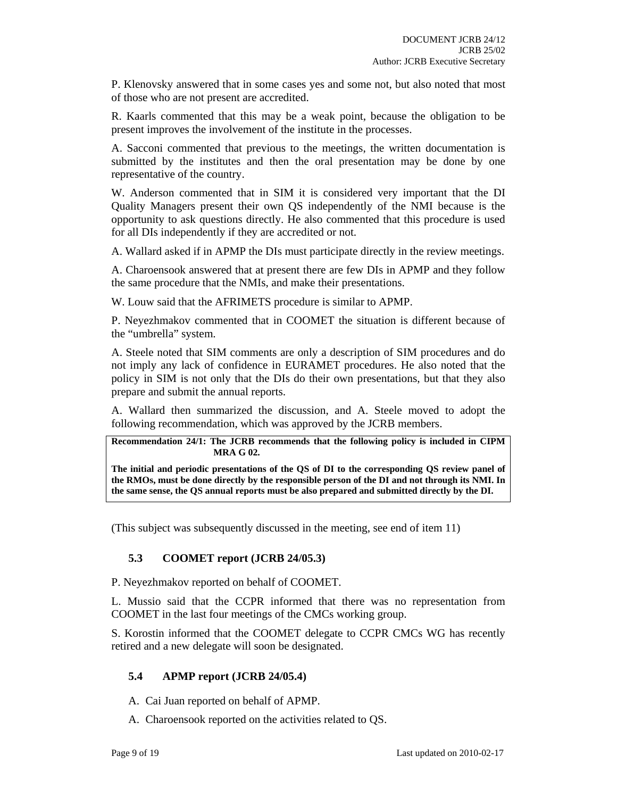P. Klenovsky answered that in some cases yes and some not, but also noted that most of those who are not present are accredited.

R. Kaarls commented that this may be a weak point, because the obligation to be present improves the involvement of the institute in the processes.

A. Sacconi commented that previous to the meetings, the written documentation is submitted by the institutes and then the oral presentation may be done by one representative of the country.

W. Anderson commented that in SIM it is considered very important that the DI Quality Managers present their own QS independently of the NMI because is the opportunity to ask questions directly. He also commented that this procedure is used for all DIs independently if they are accredited or not.

A. Wallard asked if in APMP the DIs must participate directly in the review meetings.

A. Charoensook answered that at present there are few DIs in APMP and they follow the same procedure that the NMIs, and make their presentations.

W. Louw said that the AFRIMETS procedure is similar to APMP.

P. Neyezhmakov commented that in COOMET the situation is different because of the "umbrella" system.

A. Steele noted that SIM comments are only a description of SIM procedures and do not imply any lack of confidence in EURAMET procedures. He also noted that the policy in SIM is not only that the DIs do their own presentations, but that they also prepare and submit the annual reports.

A. Wallard then summarized the discussion, and A. Steele moved to adopt the following recommendation, which was approved by the JCRB members.

**Recommendation 24/1: The JCRB recommends that the following policy is included in CIPM MRA G 02.** 

**The initial and periodic presentations of the QS of DI to the corresponding QS review panel of the RMOs, must be done directly by the responsible person of the DI and not through its NMI. In the same sense, the QS annual reports must be also prepared and submitted directly by the DI.** 

(This subject was subsequently discussed in the meeting, see end of item 11)

# **5.3 COOMET report (JCRB 24/05.3)**

P. Neyezhmakov reported on behalf of COOMET.

L. Mussio said that the CCPR informed that there was no representation from COOMET in the last four meetings of the CMCs working group.

S. Korostin informed that the COOMET delegate to CCPR CMCs WG has recently retired and a new delegate will soon be designated.

# **5.4 APMP report (JCRB 24/05.4)**

- A. Cai Juan reported on behalf of APMP.
- A. Charoensook reported on the activities related to QS.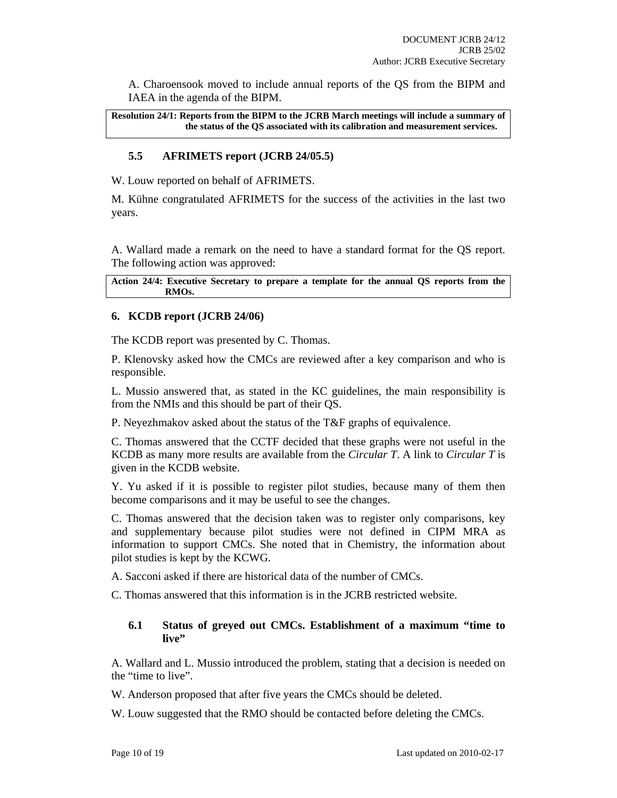A. Charoensook moved to include annual reports of the QS from the BIPM and IAEA in the agenda of the BIPM.

**Resolution 24/1: Reports from the BIPM to the JCRB March meetings will include a summary of the status of the QS associated with its calibration and measurement services.** 

# **5.5 AFRIMETS report (JCRB 24/05.5)**

W. Louw reported on behalf of AFRIMETS.

M. Kühne congratulated AFRIMETS for the success of the activities in the last two years.

A. Wallard made a remark on the need to have a standard format for the QS report. The following action was approved:

**Action 24/4: Executive Secretary to prepare a template for the annual QS reports from the RMOs.** 

# **6. KCDB report (JCRB 24/06)**

The KCDB report was presented by C. Thomas.

P. Klenovsky asked how the CMCs are reviewed after a key comparison and who is responsible.

L. Mussio answered that, as stated in the KC guidelines, the main responsibility is from the NMIs and this should be part of their QS.

P. Neyezhmakov asked about the status of the T&F graphs of equivalence.

C. Thomas answered that the CCTF decided that these graphs were not useful in the KCDB as many more results are available from the *Circular T*. A link to *Circular T* is given in the KCDB website.

Y. Yu asked if it is possible to register pilot studies, because many of them then become comparisons and it may be useful to see the changes.

C. Thomas answered that the decision taken was to register only comparisons, key and supplementary because pilot studies were not defined in CIPM MRA as information to support CMCs. She noted that in Chemistry, the information about pilot studies is kept by the KCWG.

A. Sacconi asked if there are historical data of the number of CMCs.

C. Thomas answered that this information is in the JCRB restricted website.

#### **6.1 Status of greyed out CMCs. Establishment of a maximum "time to**  live"

A. Wallard and L. Mussio introduced the problem, stating that a decision is needed on the "time to live".

W. Anderson proposed that after five years the CMCs should be deleted.

W. Louw suggested that the RMO should be contacted before deleting the CMCs.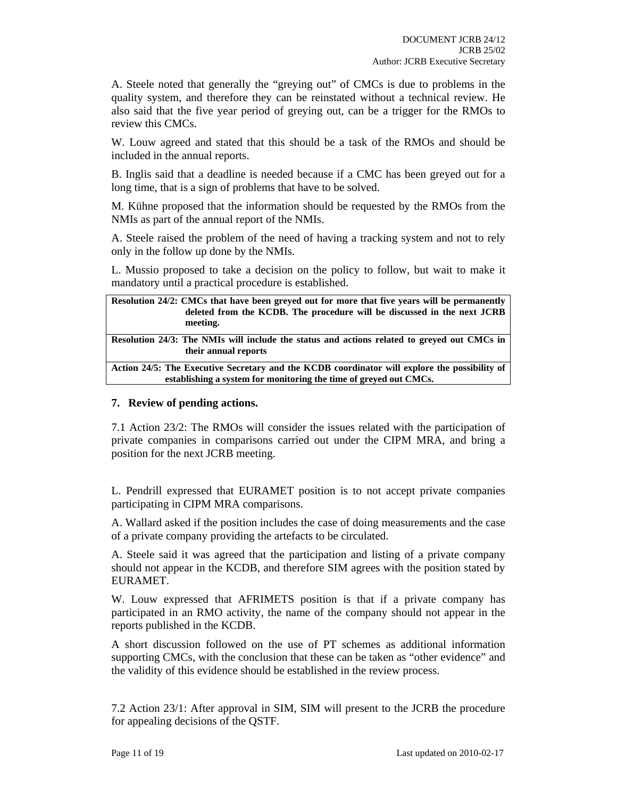A. Steele noted that generally the "greying out" of CMCs is due to problems in the quality system, and therefore they can be reinstated without a technical review. He also said that the five year period of greying out, can be a trigger for the RMOs to review this CMCs.

W. Louw agreed and stated that this should be a task of the RMOs and should be included in the annual reports.

B. Inglis said that a deadline is needed because if a CMC has been greyed out for a long time, that is a sign of problems that have to be solved.

M. Kühne proposed that the information should be requested by the RMOs from the NMIs as part of the annual report of the NMIs.

A. Steele raised the problem of the need of having a tracking system and not to rely only in the follow up done by the NMIs.

L. Mussio proposed to take a decision on the policy to follow, but wait to make it mandatory until a practical procedure is established.

| Resolution 24/2: CMCs that have been greyed out for more that five years will be permanently<br>deleted from the KCDB. The procedure will be discussed in the next JCRB<br>meeting. |  |  |  |  |  |
|-------------------------------------------------------------------------------------------------------------------------------------------------------------------------------------|--|--|--|--|--|
| Resolution 24/3: The NMIs will include the status and actions related to greyed out CMCs in<br>their annual reports                                                                 |  |  |  |  |  |
| Action 24/5: The Executive Secretary and the KCDB coordinator will explore the possibility of<br>establishing a system for monitoring the time of greyed out CMCs.                  |  |  |  |  |  |

# **7. Review of pending actions.**

7.1 Action 23/2: The RMOs will consider the issues related with the participation of private companies in comparisons carried out under the CIPM MRA, and bring a position for the next JCRB meeting.

L. Pendrill expressed that EURAMET position is to not accept private companies participating in CIPM MRA comparisons.

A. Wallard asked if the position includes the case of doing measurements and the case of a private company providing the artefacts to be circulated.

A. Steele said it was agreed that the participation and listing of a private company should not appear in the KCDB, and therefore SIM agrees with the position stated by EURAMET.

W. Louw expressed that AFRIMETS position is that if a private company has participated in an RMO activity, the name of the company should not appear in the reports published in the KCDB.

A short discussion followed on the use of PT schemes as additional information supporting CMCs, with the conclusion that these can be taken as "other evidence" and the validity of this evidence should be established in the review process.

7.2 Action 23/1: After approval in SIM, SIM will present to the JCRB the procedure for appealing decisions of the QSTF.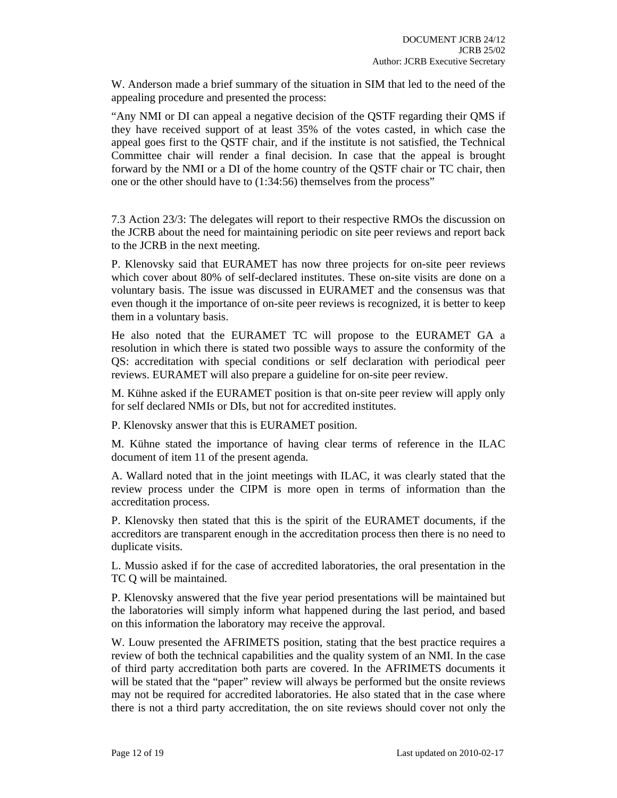W. Anderson made a brief summary of the situation in SIM that led to the need of the appealing procedure and presented the process:

"Any NMI or DI can appeal a negative decision of the QSTF regarding their QMS if they have received support of at least 35% of the votes casted, in which case the appeal goes first to the QSTF chair, and if the institute is not satisfied, the Technical Committee chair will render a final decision. In case that the appeal is brought forward by the NMI or a DI of the home country of the QSTF chair or TC chair, then one or the other should have to (1:34:56) themselves from the process"

7.3 Action 23/3: The delegates will report to their respective RMOs the discussion on the JCRB about the need for maintaining periodic on site peer reviews and report back to the JCRB in the next meeting.

P. Klenovsky said that EURAMET has now three projects for on-site peer reviews which cover about 80% of self-declared institutes. These on-site visits are done on a voluntary basis. The issue was discussed in EURAMET and the consensus was that even though it the importance of on-site peer reviews is recognized, it is better to keep them in a voluntary basis.

He also noted that the EURAMET TC will propose to the EURAMET GA a resolution in which there is stated two possible ways to assure the conformity of the QS: accreditation with special conditions or self declaration with periodical peer reviews. EURAMET will also prepare a guideline for on-site peer review.

M. Kühne asked if the EURAMET position is that on-site peer review will apply only for self declared NMIs or DIs, but not for accredited institutes.

P. Klenovsky answer that this is EURAMET position.

M. Kühne stated the importance of having clear terms of reference in the ILAC document of item 11 of the present agenda.

A. Wallard noted that in the joint meetings with ILAC, it was clearly stated that the review process under the CIPM is more open in terms of information than the accreditation process.

P. Klenovsky then stated that this is the spirit of the EURAMET documents, if the accreditors are transparent enough in the accreditation process then there is no need to duplicate visits.

L. Mussio asked if for the case of accredited laboratories, the oral presentation in the TC Q will be maintained.

P. Klenovsky answered that the five year period presentations will be maintained but the laboratories will simply inform what happened during the last period, and based on this information the laboratory may receive the approval.

W. Louw presented the AFRIMETS position, stating that the best practice requires a review of both the technical capabilities and the quality system of an NMI. In the case of third party accreditation both parts are covered. In the AFRIMETS documents it will be stated that the "paper" review will always be performed but the onsite reviews may not be required for accredited laboratories. He also stated that in the case where there is not a third party accreditation, the on site reviews should cover not only the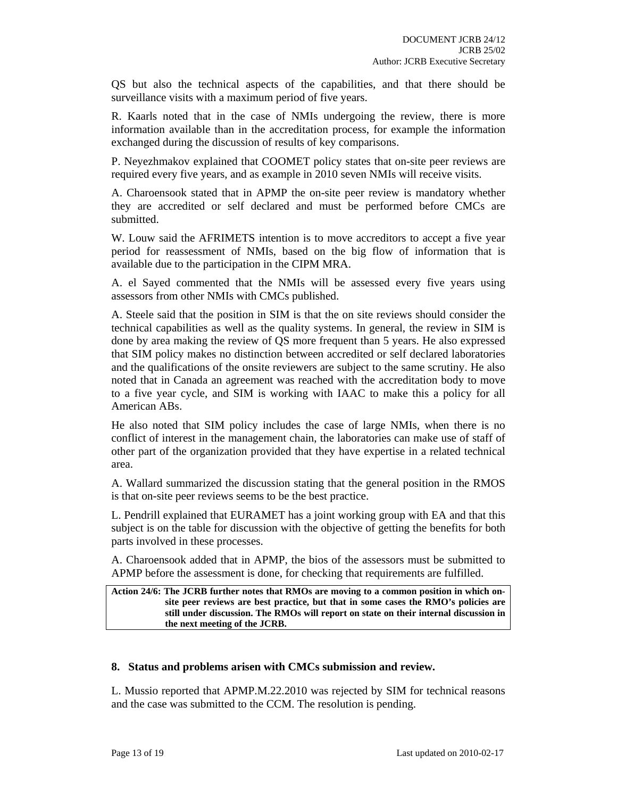QS but also the technical aspects of the capabilities, and that there should be surveillance visits with a maximum period of five years.

R. Kaarls noted that in the case of NMIs undergoing the review, there is more information available than in the accreditation process, for example the information exchanged during the discussion of results of key comparisons.

P. Neyezhmakov explained that COOMET policy states that on-site peer reviews are required every five years, and as example in 2010 seven NMIs will receive visits.

A. Charoensook stated that in APMP the on-site peer review is mandatory whether they are accredited or self declared and must be performed before CMCs are submitted.

W. Louw said the AFRIMETS intention is to move accreditors to accept a five year period for reassessment of NMIs, based on the big flow of information that is available due to the participation in the CIPM MRA.

A. el Sayed commented that the NMIs will be assessed every five years using assessors from other NMIs with CMCs published.

A. Steele said that the position in SIM is that the on site reviews should consider the technical capabilities as well as the quality systems. In general, the review in SIM is done by area making the review of QS more frequent than 5 years. He also expressed that SIM policy makes no distinction between accredited or self declared laboratories and the qualifications of the onsite reviewers are subject to the same scrutiny. He also noted that in Canada an agreement was reached with the accreditation body to move to a five year cycle, and SIM is working with IAAC to make this a policy for all American ABs.

He also noted that SIM policy includes the case of large NMIs, when there is no conflict of interest in the management chain, the laboratories can make use of staff of other part of the organization provided that they have expertise in a related technical area.

A. Wallard summarized the discussion stating that the general position in the RMOS is that on-site peer reviews seems to be the best practice.

L. Pendrill explained that EURAMET has a joint working group with EA and that this subject is on the table for discussion with the objective of getting the benefits for both parts involved in these processes.

A. Charoensook added that in APMP, the bios of the assessors must be submitted to APMP before the assessment is done, for checking that requirements are fulfilled.

**Action 24/6: The JCRB further notes that RMOs are moving to a common position in which onsite peer reviews are best practice, but that in some cases the RMO's policies are still under discussion. The RMOs will report on state on their internal discussion in the next meeting of the JCRB.** 

# **8. Status and problems arisen with CMCs submission and review.**

L. Mussio reported that APMP.M.22.2010 was rejected by SIM for technical reasons and the case was submitted to the CCM. The resolution is pending.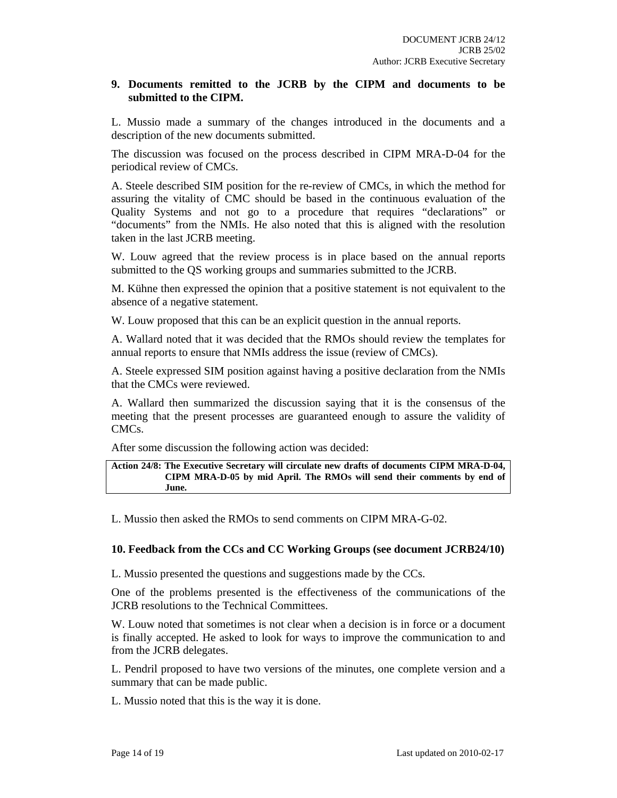# **9. Documents remitted to the JCRB by the CIPM and documents to be submitted to the CIPM.**

L. Mussio made a summary of the changes introduced in the documents and a description of the new documents submitted.

The discussion was focused on the process described in CIPM MRA-D-04 for the periodical review of CMCs.

A. Steele described SIM position for the re-review of CMCs, in which the method for assuring the vitality of CMC should be based in the continuous evaluation of the Quality Systems and not go to a procedure that requires "declarations" or "documents" from the NMIs. He also noted that this is aligned with the resolution taken in the last JCRB meeting.

W. Louw agreed that the review process is in place based on the annual reports submitted to the QS working groups and summaries submitted to the JCRB.

M. Kühne then expressed the opinion that a positive statement is not equivalent to the absence of a negative statement.

W. Louw proposed that this can be an explicit question in the annual reports.

A. Wallard noted that it was decided that the RMOs should review the templates for annual reports to ensure that NMIs address the issue (review of CMCs).

A. Steele expressed SIM position against having a positive declaration from the NMIs that the CMCs were reviewed.

A. Wallard then summarized the discussion saying that it is the consensus of the meeting that the present processes are guaranteed enough to assure the validity of CMCs.

After some discussion the following action was decided:

#### **Action 24/8: The Executive Secretary will circulate new drafts of documents CIPM MRA-D-04, CIPM MRA-D-05 by mid April. The RMOs will send their comments by end of June.**

L. Mussio then asked the RMOs to send comments on CIPM MRA-G-02.

# **10. Feedback from the CCs and CC Working Groups (see document JCRB24/10)**

L. Mussio presented the questions and suggestions made by the CCs.

One of the problems presented is the effectiveness of the communications of the JCRB resolutions to the Technical Committees.

W. Louw noted that sometimes is not clear when a decision is in force or a document is finally accepted. He asked to look for ways to improve the communication to and from the JCRB delegates.

L. Pendril proposed to have two versions of the minutes, one complete version and a summary that can be made public.

L. Mussio noted that this is the way it is done.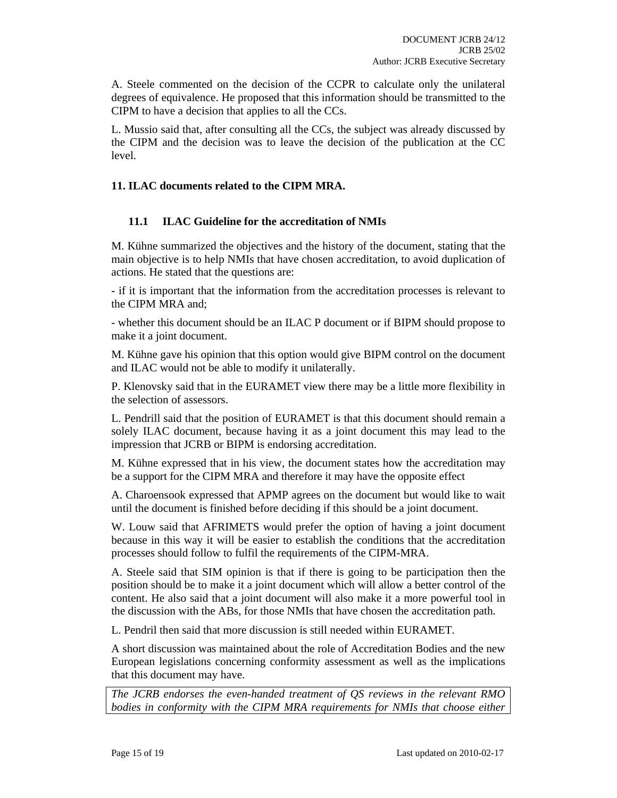A. Steele commented on the decision of the CCPR to calculate only the unilateral degrees of equivalence. He proposed that this information should be transmitted to the CIPM to have a decision that applies to all the CCs.

L. Mussio said that, after consulting all the CCs, the subject was already discussed by the CIPM and the decision was to leave the decision of the publication at the CC level.

# **11. ILAC documents related to the CIPM MRA.**

# **11.1 ILAC Guideline for the accreditation of NMIs**

M. Kühne summarized the objectives and the history of the document, stating that the main objective is to help NMIs that have chosen accreditation, to avoid duplication of actions. He stated that the questions are:

- if it is important that the information from the accreditation processes is relevant to the CIPM MRA and;

- whether this document should be an ILAC P document or if BIPM should propose to make it a joint document.

M. Kühne gave his opinion that this option would give BIPM control on the document and ILAC would not be able to modify it unilaterally.

P. Klenovsky said that in the EURAMET view there may be a little more flexibility in the selection of assessors.

L. Pendrill said that the position of EURAMET is that this document should remain a solely ILAC document, because having it as a joint document this may lead to the impression that JCRB or BIPM is endorsing accreditation.

M. Kühne expressed that in his view, the document states how the accreditation may be a support for the CIPM MRA and therefore it may have the opposite effect

A. Charoensook expressed that APMP agrees on the document but would like to wait until the document is finished before deciding if this should be a joint document.

W. Louw said that AFRIMETS would prefer the option of having a joint document because in this way it will be easier to establish the conditions that the accreditation processes should follow to fulfil the requirements of the CIPM-MRA.

A. Steele said that SIM opinion is that if there is going to be participation then the position should be to make it a joint document which will allow a better control of the content. He also said that a joint document will also make it a more powerful tool in the discussion with the ABs, for those NMIs that have chosen the accreditation path.

L. Pendril then said that more discussion is still needed within EURAMET.

A short discussion was maintained about the role of Accreditation Bodies and the new European legislations concerning conformity assessment as well as the implications that this document may have.

*The JCRB endorses the even-handed treatment of QS reviews in the relevant RMO bodies in conformity with the CIPM MRA requirements for NMIs that choose either*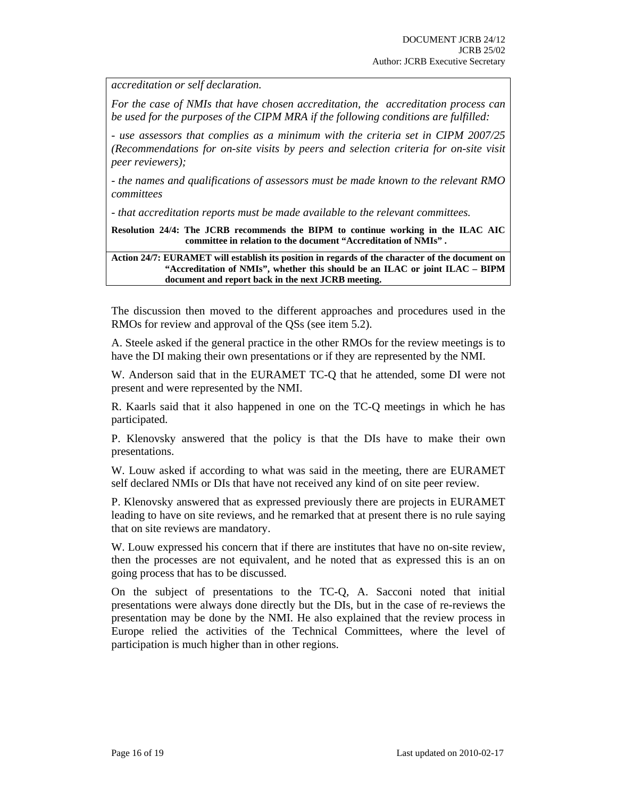*accreditation or self declaration.* 

*For the case of NMIs that have chosen accreditation, the accreditation process can be used for the purposes of the CIPM MRA if the following conditions are fulfilled:* 

*- use assessors that complies as a minimum with the criteria set in CIPM 2007/25 (Recommendations for on-site visits by peers and selection criteria for on-site visit peer reviewers);* 

*- the names and qualifications of assessors must be made known to the relevant RMO committees* 

*- that accreditation reports must be made available to the relevant committees.* 

**Resolution 24/4: The JCRB recommends the BIPM to continue working in the ILAC AIC committee in relation to the document "Accreditation of NMIs" .** 

**Action 24/7: EURAMET will establish its position in regards of the character of the document on "Accreditation of NMIs", whether this should be an ILAC or joint ILAC – BIPM document and report back in the next JCRB meeting.** 

The discussion then moved to the different approaches and procedures used in the RMOs for review and approval of the QSs (see item 5.2).

A. Steele asked if the general practice in the other RMOs for the review meetings is to have the DI making their own presentations or if they are represented by the NMI.

W. Anderson said that in the EURAMET TC-Q that he attended, some DI were not present and were represented by the NMI.

R. Kaarls said that it also happened in one on the TC-Q meetings in which he has participated.

P. Klenovsky answered that the policy is that the DIs have to make their own presentations.

W. Louw asked if according to what was said in the meeting, there are EURAMET self declared NMIs or DIs that have not received any kind of on site peer review.

P. Klenovsky answered that as expressed previously there are projects in EURAMET leading to have on site reviews, and he remarked that at present there is no rule saying that on site reviews are mandatory.

W. Louw expressed his concern that if there are institutes that have no on-site review, then the processes are not equivalent, and he noted that as expressed this is an on going process that has to be discussed.

On the subject of presentations to the TC-Q, A. Sacconi noted that initial presentations were always done directly but the DIs, but in the case of re-reviews the presentation may be done by the NMI. He also explained that the review process in Europe relied the activities of the Technical Committees, where the level of participation is much higher than in other regions.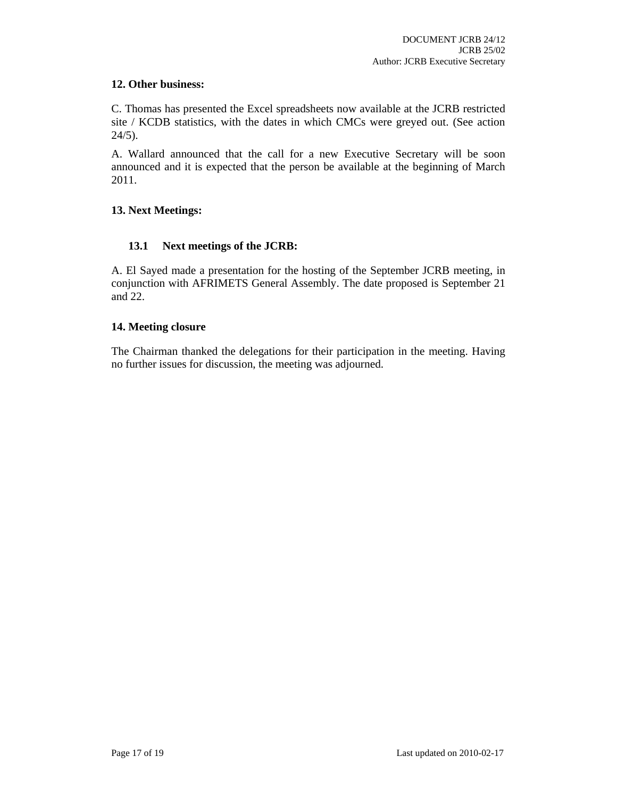# **12. Other business:**

C. Thomas has presented the Excel spreadsheets now available at the JCRB restricted site / KCDB statistics, with the dates in which CMCs were greyed out. (See action  $24/5$ ).

A. Wallard announced that the call for a new Executive Secretary will be soon announced and it is expected that the person be available at the beginning of March 2011.

# **13. Next Meetings:**

# **13.1 Next meetings of the JCRB:**

A. El Sayed made a presentation for the hosting of the September JCRB meeting, in conjunction with AFRIMETS General Assembly. The date proposed is September 21 and 22.

# **14. Meeting closure**

The Chairman thanked the delegations for their participation in the meeting. Having no further issues for discussion, the meeting was adjourned.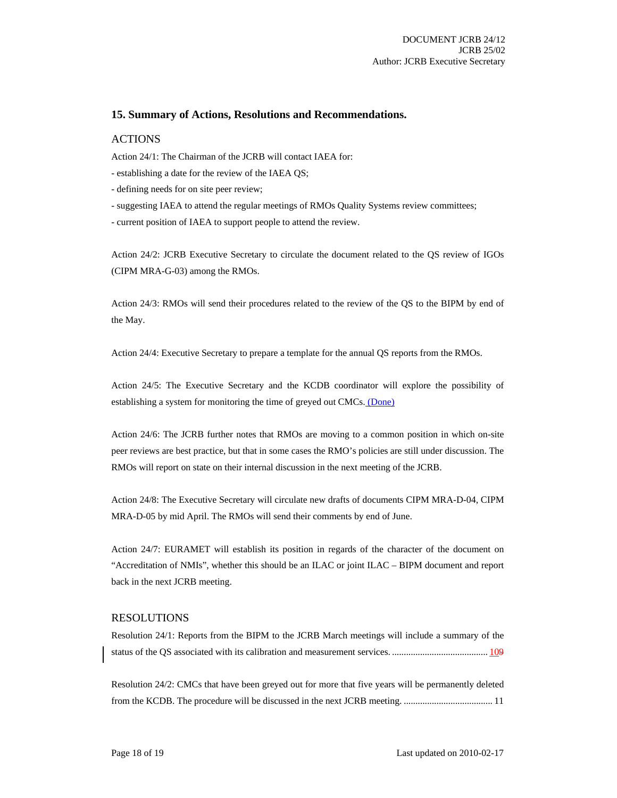#### **15. Summary of Actions, Resolutions and Recommendations.**

#### **ACTIONS**

Action 24/1: The Chairman of the JCRB will contact IAEA for:

- establishing a date for the review of the IAEA QS;

- defining needs for on site peer review;

- suggesting IAEA to attend the regular meetings of RMOs Quality Systems review committees;

- current position of IAEA to support people to attend the review.

Action 24/2: JCRB Executive Secretary to circulate the document related to the QS review of IGOs (CIPM MRA-G-03) among the RMOs.

Action 24/3: RMOs will send their procedures related to the review of the QS to the BIPM by end of the May.

Action 24/4: Executive Secretary to prepare a template for the annual QS reports from the RMOs.

Action 24/5: The Executive Secretary and the KCDB coordinator will explore the possibility of establishing a system for monitoring the time of greyed out CMCs. (Done)

Action 24/6: The JCRB further notes that RMOs are moving to a common position in which on-site peer reviews are best practice, but that in some cases the RMO's policies are still under discussion. The RMOs will report on state on their internal discussion in the next meeting of the JCRB.

Action 24/8: The Executive Secretary will circulate new drafts of documents CIPM MRA-D-04, CIPM MRA-D-05 by mid April. The RMOs will send their comments by end of June.

Action 24/7: EURAMET will establish its position in regards of the character of the document on "Accreditation of NMIs", whether this should be an ILAC or joint ILAC – BIPM document and report back in the next JCRB meeting.

#### RESOLUTIONS

Resolution 24/1: Reports from the BIPM to the JCRB March meetings will include a summary of the status of the QS associated with its calibration and measurement services. ......................................... 109

Resolution 24/2: CMCs that have been greyed out for more that five years will be permanently deleted from the KCDB. The procedure will be discussed in the next JCRB meeting. ...................................... 11